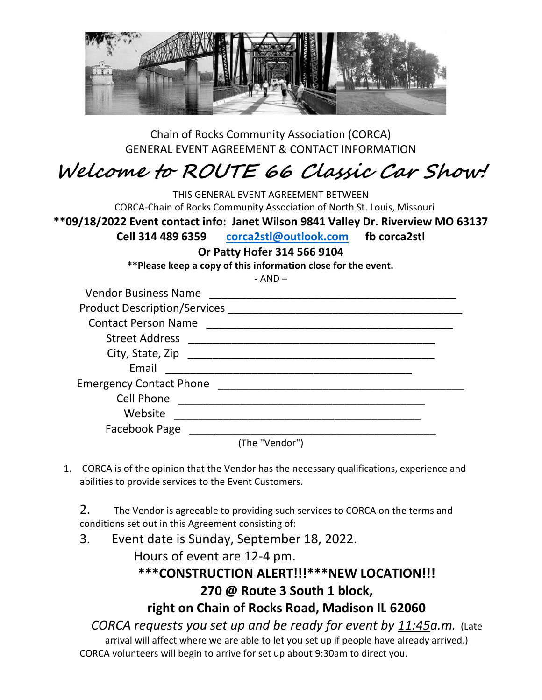

Chain of Rocks Community Association (CORCA) GENERAL EVENT AGREEMENT & CONTACT INFORMATION

## **Welcome to ROUTE 66 Classic Car Show!**

THIS GENERAL EVENT AGREEMENT BETWEEN CORCA-Chain of Rocks Community Association of North St. Louis, Missouri **\*\*09/18/2022 Event contact info: Janet Wilson 9841 Valley Dr. Riverview MO 63137 Cell 314 489 6359 [corca2stl@outlook.com](mailto:corca2stl@outlook.com) fb corca2stl Or Patty Hofer 314 566 9104 \*\*Please keep a copy of this information close for the event.**  - AND – Vendor Business Name \_\_\_\_\_\_\_\_\_\_\_\_\_\_\_\_\_\_\_\_\_\_\_\_\_\_\_\_\_\_\_\_\_\_\_\_\_\_\_\_ Product Description/Services \_\_\_\_\_\_\_\_\_\_\_\_\_\_\_\_\_\_\_\_\_\_\_\_\_\_\_\_\_\_\_\_\_\_\_\_\_\_ Contact Person Name \_\_\_\_\_\_\_\_\_\_\_\_\_\_\_\_\_\_\_\_\_\_\_\_\_\_\_\_\_\_\_\_\_\_\_\_\_\_\_\_ Street Address \_\_\_\_\_\_\_\_\_\_\_\_\_\_\_\_\_\_\_\_\_\_\_\_\_\_\_\_\_\_\_\_\_\_\_\_\_\_\_\_ City, State, Zip \_\_\_\_\_\_\_\_\_\_\_\_\_\_\_\_\_\_\_\_\_\_\_\_\_\_\_\_\_\_\_\_\_\_\_\_\_\_\_\_ Email \_\_\_\_\_\_\_\_\_\_\_\_\_\_\_\_\_\_\_\_\_\_\_\_\_\_\_\_\_\_\_\_\_\_\_\_\_\_\_\_ Emergency Contact Phone \_\_\_\_\_\_\_\_\_\_\_\_\_\_\_\_\_\_\_\_\_\_\_\_\_\_\_\_\_\_\_\_\_\_\_\_\_\_\_\_ Cell Phone \_\_\_\_\_\_\_\_\_\_\_\_\_\_\_\_\_\_\_\_\_\_\_\_\_\_\_\_\_\_\_\_\_\_\_\_\_\_\_\_ Website \_\_\_\_\_\_\_\_\_\_\_\_\_\_\_\_\_\_\_\_\_\_\_\_\_\_\_\_\_\_\_\_\_\_\_\_\_\_\_\_ Facebook Page \_\_\_\_\_\_\_\_ (The "Vendor")

1. CORCA is of the opinion that the Vendor has the necessary qualifications, experience and abilities to provide services to the Event Customers.

2. The Vendor is agreeable to providing such services to CORCA on the terms and conditions set out in this Agreement consisting of:

3. Event date is Sunday, September 18, 2022.

Hours of event are 12-4 pm.

### **\*\*\*CONSTRUCTION ALERT!!!\*\*\*NEW LOCATION!!! 270 @ Route 3 South 1 block,**

**right on Chain of Rocks Road, Madison IL 62060**

*CORCA requests you set up and be ready for event by 11:45a.m.* (Late arrival will affect where we are able to let you set up if people have already arrived.) CORCA volunteers will begin to arrive for set up about 9:30am to direct you.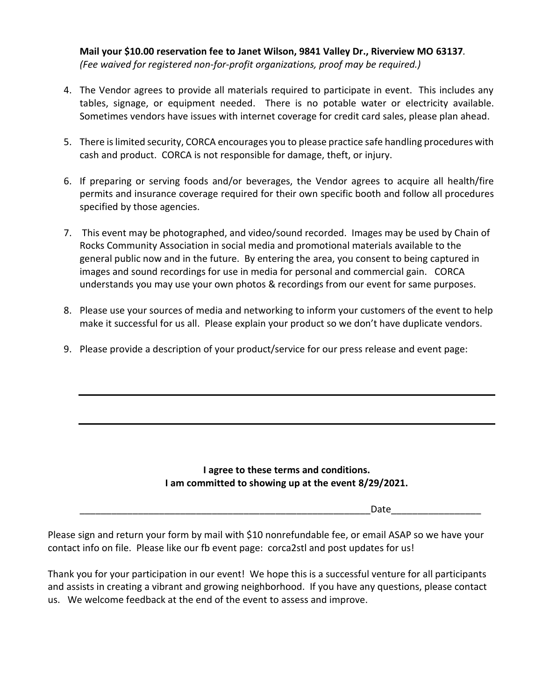**Mail your \$10.00 reservation fee to Janet Wilson, 9841 Valley Dr., Riverview MO 63137***. (Fee waived for registered non-for-profit organizations, proof may be required.)*

- 4. The Vendor agrees to provide all materials required to participate in event. This includes any tables, signage, or equipment needed. There is no potable water or electricity available. Sometimes vendors have issues with internet coverage for credit card sales, please plan ahead.
- 5. There is limited security, CORCA encourages you to please practice safe handling procedures with cash and product. CORCA is not responsible for damage, theft, or injury.
- 6. If preparing or serving foods and/or beverages, the Vendor agrees to acquire all health/fire permits and insurance coverage required for their own specific booth and follow all procedures specified by those agencies.
- 7. This event may be photographed, and video/sound recorded. Images may be used by Chain of Rocks Community Association in social media and promotional materials available to the general public now and in the future. By entering the area, you consent to being captured in images and sound recordings for use in media for personal and commercial gain. CORCA understands you may use your own photos & recordings from our event for same purposes.
- 8. Please use your sources of media and networking to inform your customers of the event to help make it successful for us all. Please explain your product so we don't have duplicate vendors.
- 9. Please provide a description of your product/service for our press release and event page:

#### **I agree to these terms and conditions. I am committed to showing up at the event 8/29/2021.**

\_\_\_\_\_\_\_\_\_\_\_\_\_\_\_\_\_\_\_\_\_\_\_\_\_\_\_\_\_\_\_\_\_\_\_\_\_\_\_\_\_\_\_\_\_\_\_\_\_\_\_\_\_\_\_Date\_\_\_\_\_\_\_\_\_\_\_\_\_\_\_\_\_

Please sign and return your form by mail with \$10 nonrefundable fee, or email ASAP so we have your contact info on file. Please like our fb event page: corca2stl and post updates for us!

Thank you for your participation in our event! We hope this is a successful venture for all participants and assists in creating a vibrant and growing neighborhood. If you have any questions, please contact us. We welcome feedback at the end of the event to assess and improve.